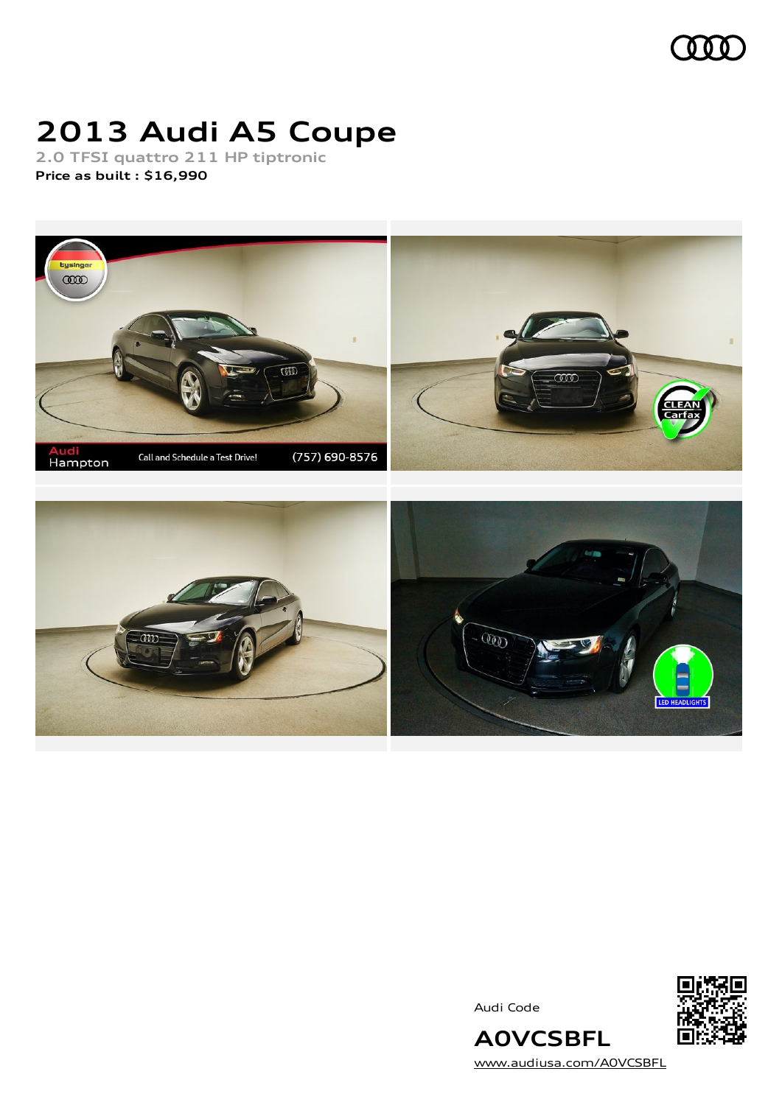

# **2013 Audi A5 Coupe**

**2.0 TFSI quattro 211 HP tiptronic Price as built [:](#page-9-0) \$16,990**



Audi Code



[www.audiusa.com/A0VCSBFL](https://www.audiusa.com/A0VCSBFL)

**A0VCSBFL**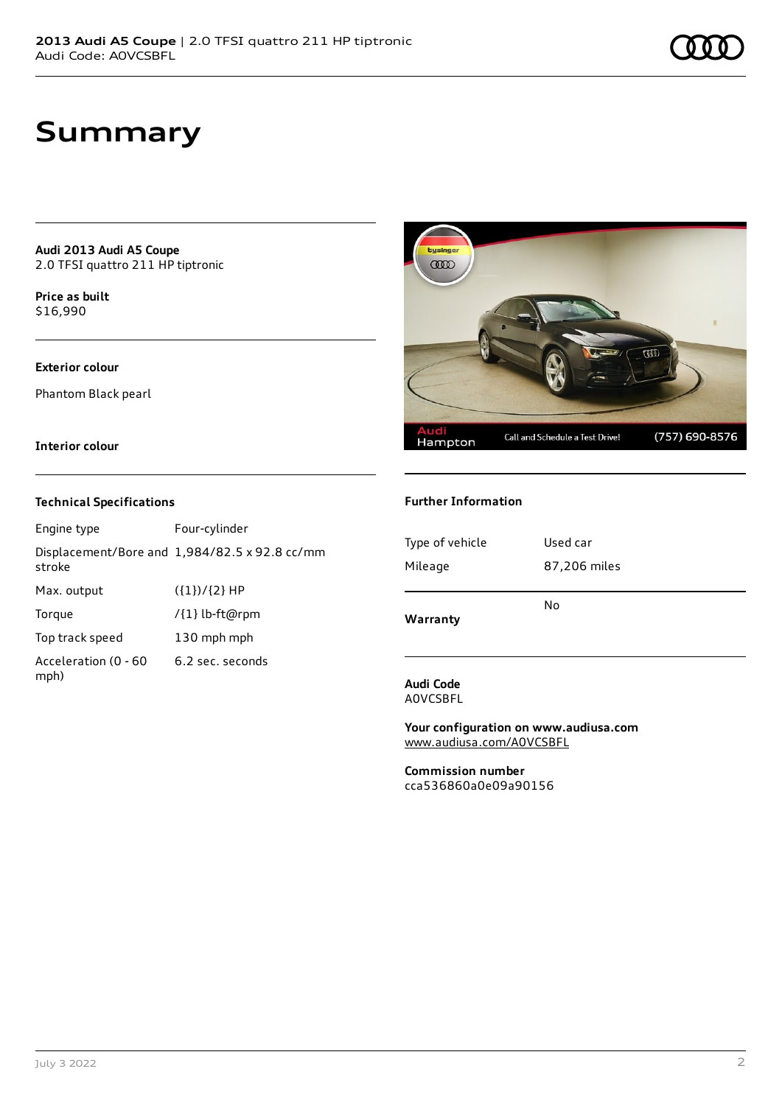## **Summary**

**Audi 2013 Audi A5 Coupe** 2.0 TFSI quattro 211 HP tiptronic

**Price as buil[t](#page-9-0)** \$16,990

### **Exterior colour**

Phantom Black pearl

### **Interior colour**

### **Technical Specifications**

| Engine type                  | Four-cylinder                                 |
|------------------------------|-----------------------------------------------|
| stroke                       | Displacement/Bore and 1,984/82.5 x 92.8 cc/mm |
| Max. output                  | $({1})/{2}$ HP                                |
| Torque                       | /{1} lb-ft@rpm                                |
| Top track speed              | 130 mph mph                                   |
| Acceleration (0 - 60<br>mph) | 6.2 sec. seconds                              |



### **Further Information**

| Type of vehicle | Used car     |
|-----------------|--------------|
| Mileage         | 87,206 miles |
| Warranty        | No           |

### **Audi Code** A0VCSBFL

**Your configuration on www.audiusa.com** [www.audiusa.com/A0VCSBFL](https://www.audiusa.com/A0VCSBFL)

**Commission number** cca536860a0e09a90156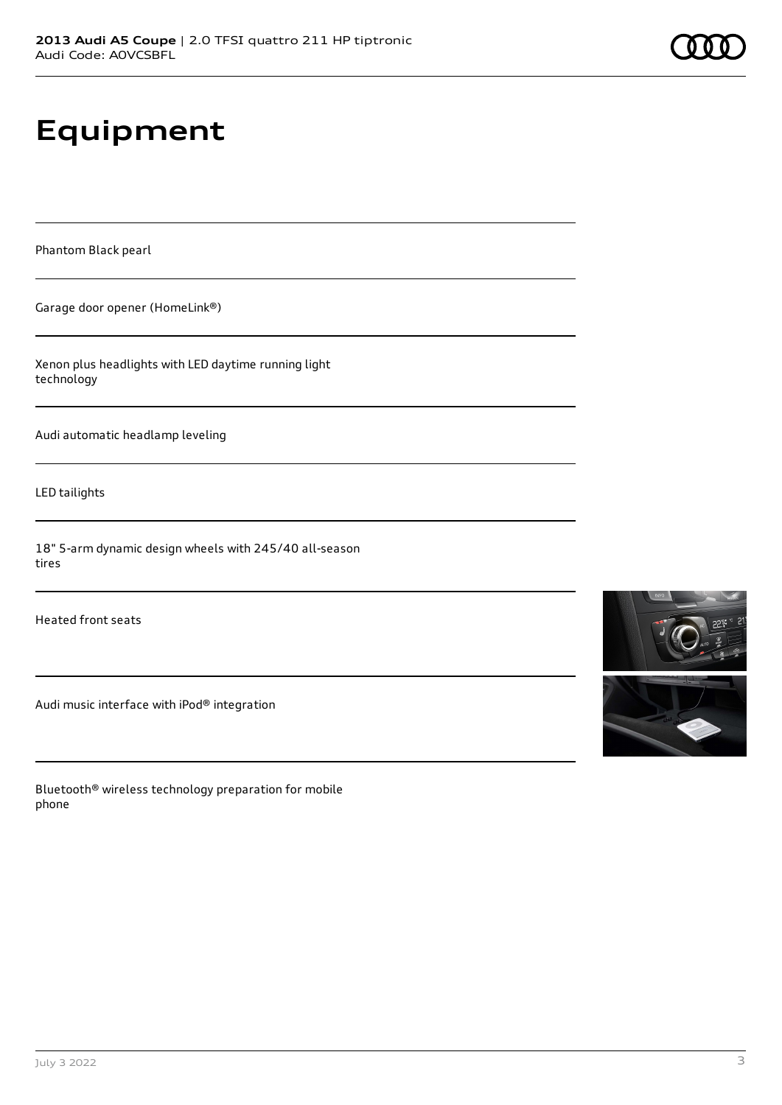# **Equipment**

Phantom Black pearl

Garage door opener (HomeLink®)

Xenon plus headlights with LED daytime running light technology

Audi automatic headlamp leveling

LED tailights

18" 5-arm dynamic design wheels with 245/40 all-season tires

Heated front seats

Audi music interface with iPod® integration

Bluetooth® wireless technology preparation for mobile phone

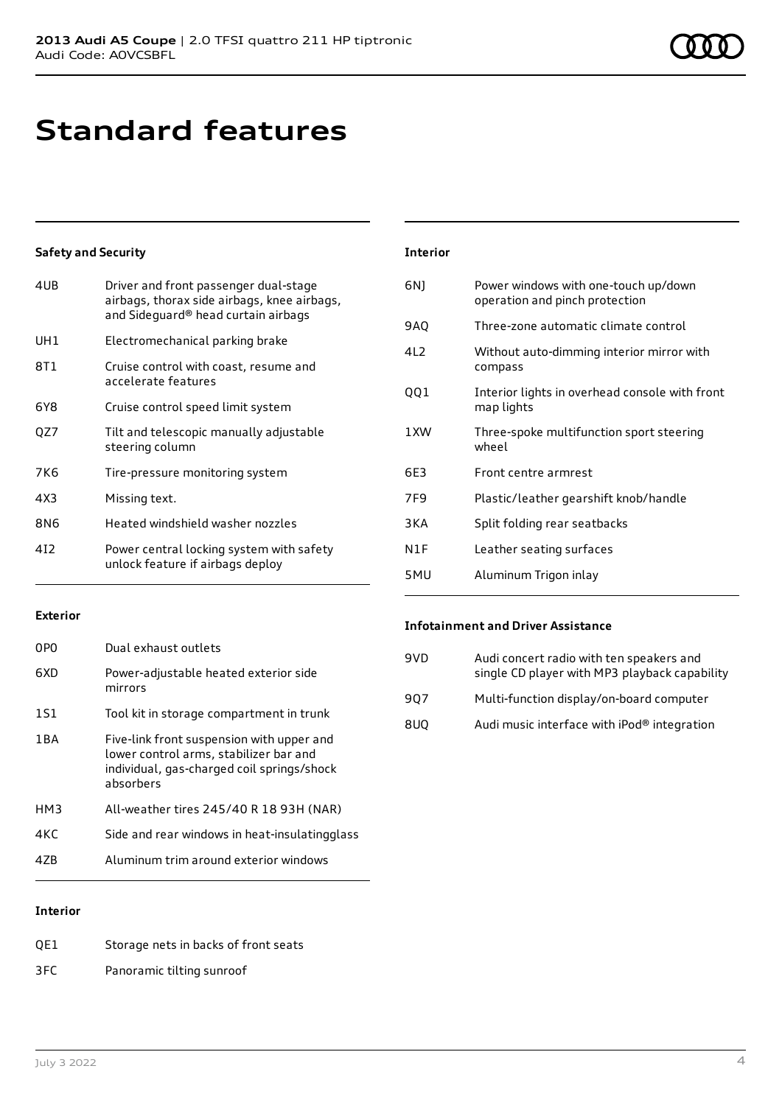## **Standard features**

### **Safety and Security**

| UH <sub>1</sub><br>Electromechanical parking brake<br>8T 1<br>Cruise control with coast, resume and<br>accelerate features<br>6Y8<br>Cruise control speed limit system<br>OZ7<br>Tilt and telescopic manually adjustable<br>steering column<br>7K6<br>Tire-pressure monitoring system<br>4X3<br>Missing text.<br>Heated windshield washer nozzles<br>8N6<br>412<br>Power central locking system with safety<br>unlock feature if airbags deploy | 4UB | Driver and front passenger dual-stage<br>airbags, thorax side airbags, knee airbags,<br>and Sideguard® head curtain airbags |
|-------------------------------------------------------------------------------------------------------------------------------------------------------------------------------------------------------------------------------------------------------------------------------------------------------------------------------------------------------------------------------------------------------------------------------------------------|-----|-----------------------------------------------------------------------------------------------------------------------------|
|                                                                                                                                                                                                                                                                                                                                                                                                                                                 |     |                                                                                                                             |
|                                                                                                                                                                                                                                                                                                                                                                                                                                                 |     |                                                                                                                             |
|                                                                                                                                                                                                                                                                                                                                                                                                                                                 |     |                                                                                                                             |
|                                                                                                                                                                                                                                                                                                                                                                                                                                                 |     |                                                                                                                             |
|                                                                                                                                                                                                                                                                                                                                                                                                                                                 |     |                                                                                                                             |
|                                                                                                                                                                                                                                                                                                                                                                                                                                                 |     |                                                                                                                             |
|                                                                                                                                                                                                                                                                                                                                                                                                                                                 |     |                                                                                                                             |
|                                                                                                                                                                                                                                                                                                                                                                                                                                                 |     |                                                                                                                             |

### **Interior**

| 6N)             | Power windows with one-touch up/down<br>operation and pinch protection |
|-----------------|------------------------------------------------------------------------|
| 9AQ             | Three-zone automatic climate control                                   |
| 412             | Without auto-dimming interior mirror with<br>compass                   |
| QQ1             | Interior lights in overhead console with front<br>map lights           |
| 1 XW            | Three-spoke multifunction sport steering<br>wheel                      |
| 6E3             | Front centre armrest                                                   |
| 7F <sub>9</sub> | Plastic/leather gearshift knob/handle                                  |
| 3 K A           | Split folding rear seatbacks                                           |
| N1F             | Leather seating surfaces                                               |
| 5MU             | Aluminum Trigon inlay                                                  |

### **Exterior**

| 0PO   | Dual exhaust outlets                                                                                                                           |
|-------|------------------------------------------------------------------------------------------------------------------------------------------------|
| 6XD   | Power-adjustable heated exterior side<br>mirrors                                                                                               |
| 1S1   | Tool kit in storage compartment in trunk                                                                                                       |
| 1 B A | Five-link front suspension with upper and<br>lower control arms, stabilizer bar and<br>individual, gas-charged coil springs/shock<br>absorbers |
| HM3   | All-weather tires 245/40 R 18 93H (NAR)                                                                                                        |
| 4KC   | Side and rear windows in heat-insulatingglass                                                                                                  |
| 47R   | Aluminum trim around exterior windows                                                                                                          |
|       |                                                                                                                                                |

### **Infotainment and Driver Assistance**

| 9VD | Audi concert radio with ten speakers and<br>single CD player with MP3 playback capability |
|-----|-------------------------------------------------------------------------------------------|
| 907 | Multi-function display/on-board computer                                                  |
| 8UQ | Audi music interface with iPod® integration                                               |

### **Interior**

| QE1 | Storage nets in backs of front seats |
|-----|--------------------------------------|
| 3FC | Panoramic tilting sunroof            |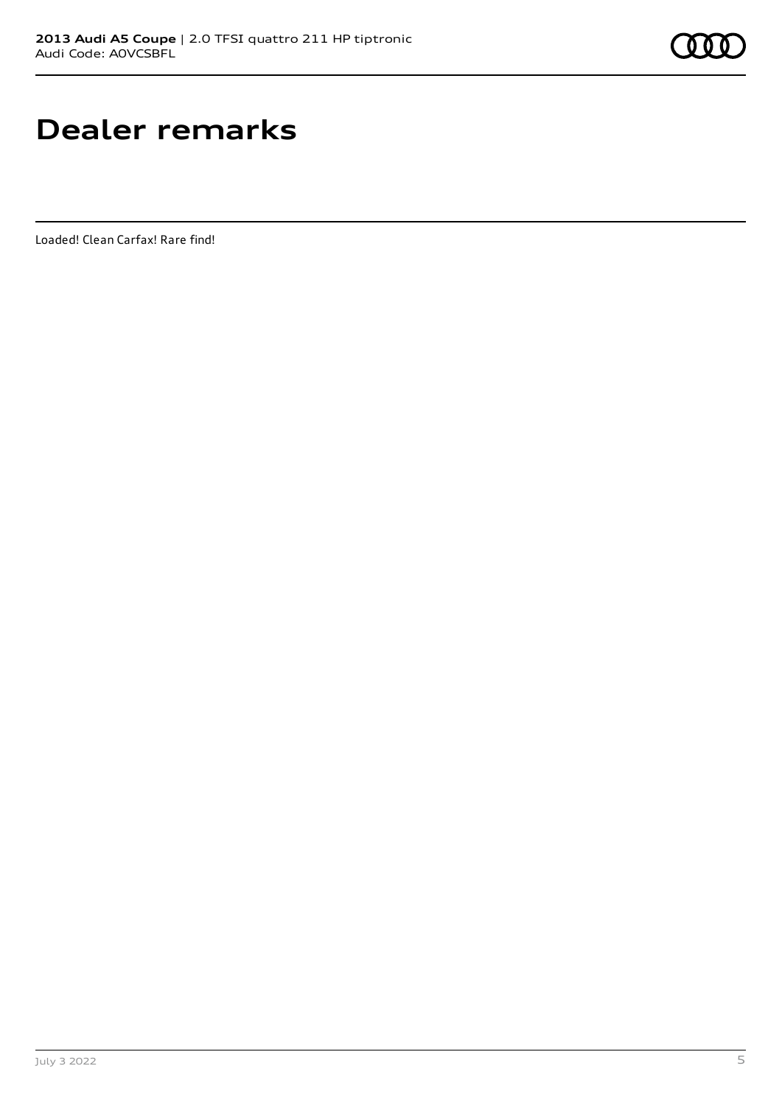## **Dealer remarks**

Loaded! Clean Carfax! Rare find!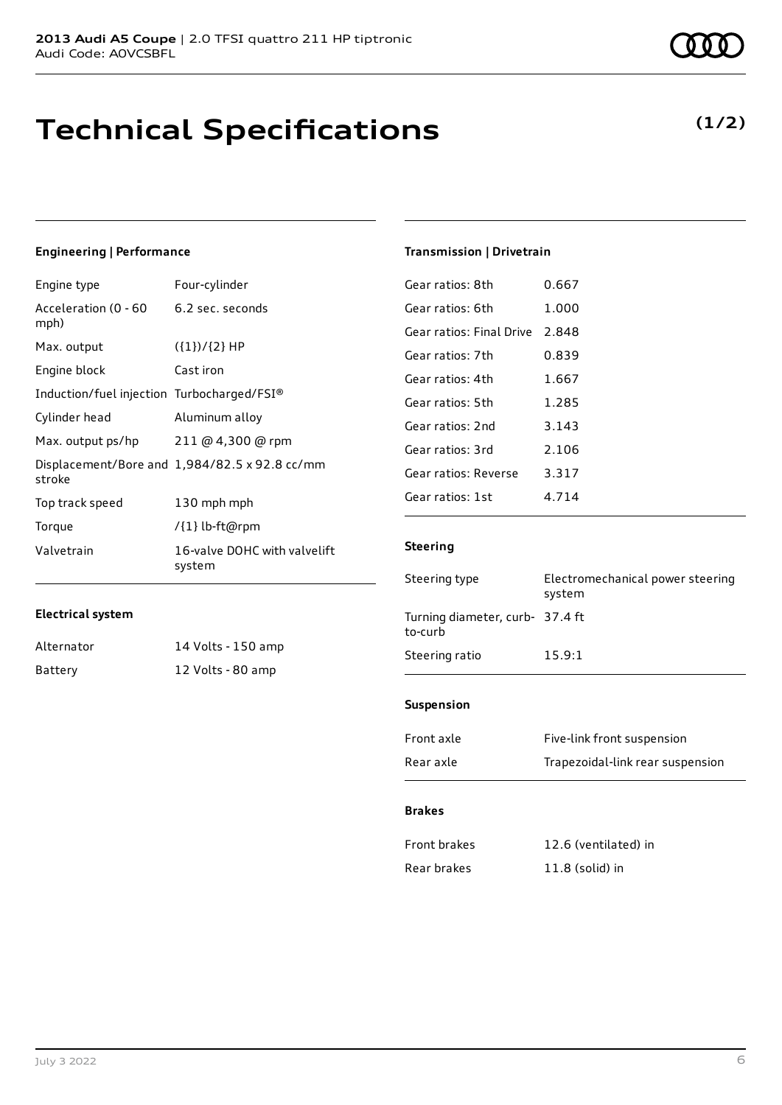## **Technical Specifications**

### **Engineering | Performance**

| Engine type                                | Four-cylinder                                 |
|--------------------------------------------|-----------------------------------------------|
| Acceleration (0 - 60<br>mph)               | 6.2 sec. seconds                              |
| Max. output                                | $({1})/{2}$ HP                                |
| Engine block                               | Cast iron                                     |
| Induction/fuel injection Turbocharged/FSI® |                                               |
| Cylinder head                              | Aluminum alloy                                |
| Max. output ps/hp                          | 211@4,300@rpm                                 |
| stroke                                     | Displacement/Bore and 1,984/82.5 x 92.8 cc/mm |
| Top track speed                            | 130 mph mph                                   |
| Torque                                     | /{1} lb-ft@rpm                                |
| Valvetrain                                 | 16-valve DOHC with valvelift<br>system        |

### **Electrical system**

| Alternator | 14 Volts - 150 amp |
|------------|--------------------|
| Battery    | 12 Volts - 80 amp  |

### **Transmission | Drivetrain**

| 0.667 |
|-------|
| 1.000 |
| 2.848 |
| 0.839 |
| 1.667 |
| 1.285 |
| 3.143 |
| 2.106 |
| 3.317 |
| 4.714 |
|       |

### **Steering**

| Steering type                             | Electromechanical power steering<br>system |
|-------------------------------------------|--------------------------------------------|
| Turning diameter, curb-37.4 ft<br>to-curb |                                            |
| Steering ratio                            | 15.9:1                                     |
|                                           |                                            |

### **Suspension**

| Front axle | Five-link front suspension       |
|------------|----------------------------------|
| Rear axle  | Trapezoidal-link rear suspension |

### **Brakes**

| <b>Front brakes</b> | 12.6 (ventilated) in |
|---------------------|----------------------|
| Rear brakes         | $11.8$ (solid) in    |

## **(1/2)**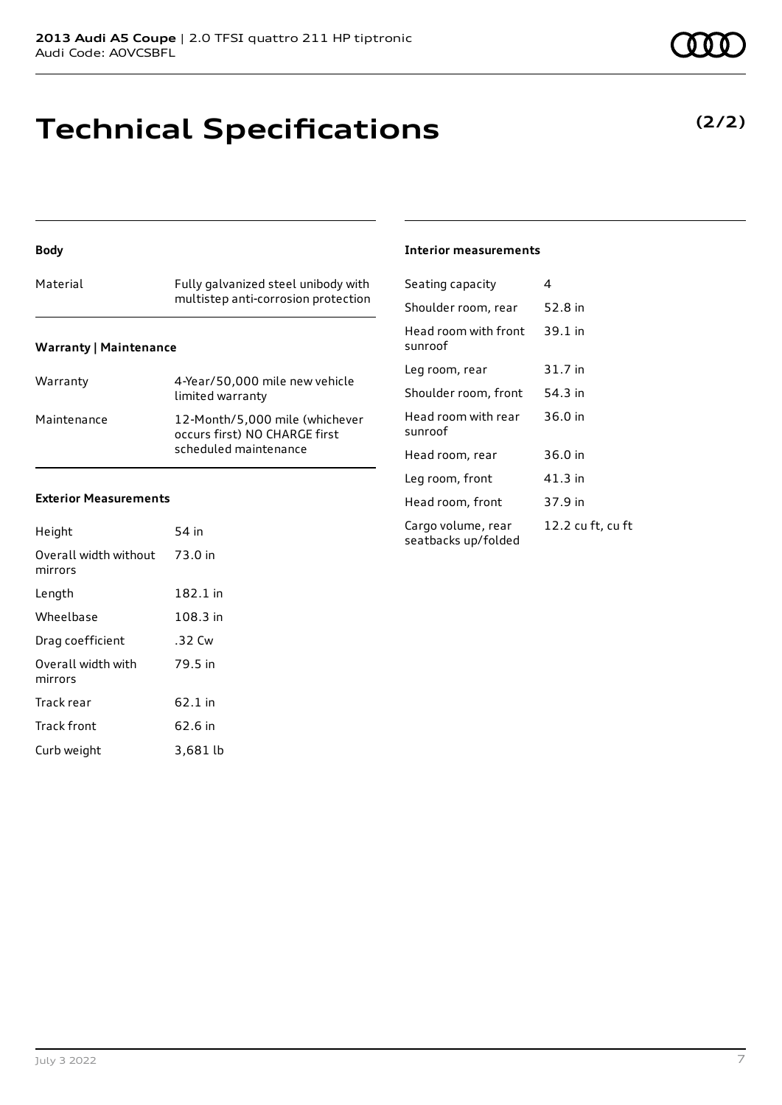## **Technical Specifications**

### **Body**

## Material Fully galvanized steel unibody with multistep anti-corrosion protection **Warranty | Maintenance**

| Warranty    | 4-Year/50,000 mile new vehicle<br>limited warranty                                       |
|-------------|------------------------------------------------------------------------------------------|
| Maintenance | 12-Month/5,000 mile (whichever<br>occurs first) NO CHARGE first<br>scheduled maintenance |

### **Exterior Measurements**

| Height                           | 54 in    |
|----------------------------------|----------|
| Overall width without<br>mirrors | 73.0 in  |
| Length                           | 182.1 in |
| Wheelbase                        | 108.3 in |
| Drag coefficient                 | .32 Cw   |
| Overall width with<br>mirrors    | 79.5 in  |
| Track rear                       | 62.1 in  |
| <b>Track front</b>               | 62.6 in  |
| Curb weight                      | 3.681 lb |

### **Interior measurements**

| Seating capacity                          | 4                 |
|-------------------------------------------|-------------------|
| Shoulder room, rear                       | 52.8 in           |
| Head room with front<br>sunroof           | $39.1$ in         |
| Leg room, rear                            | 31.7 in           |
| Shoulder room, front                      | 54.3 in           |
| Head room with rear<br>sunroof            | 36.0 in           |
| Head room, rear                           | 36.0 in           |
| Leg room, front                           | 41.3 in           |
| Head room, front                          | 37.9 in           |
| Cargo volume, rear<br>seatbacks up/folded | 12.2 cu ft, cu ft |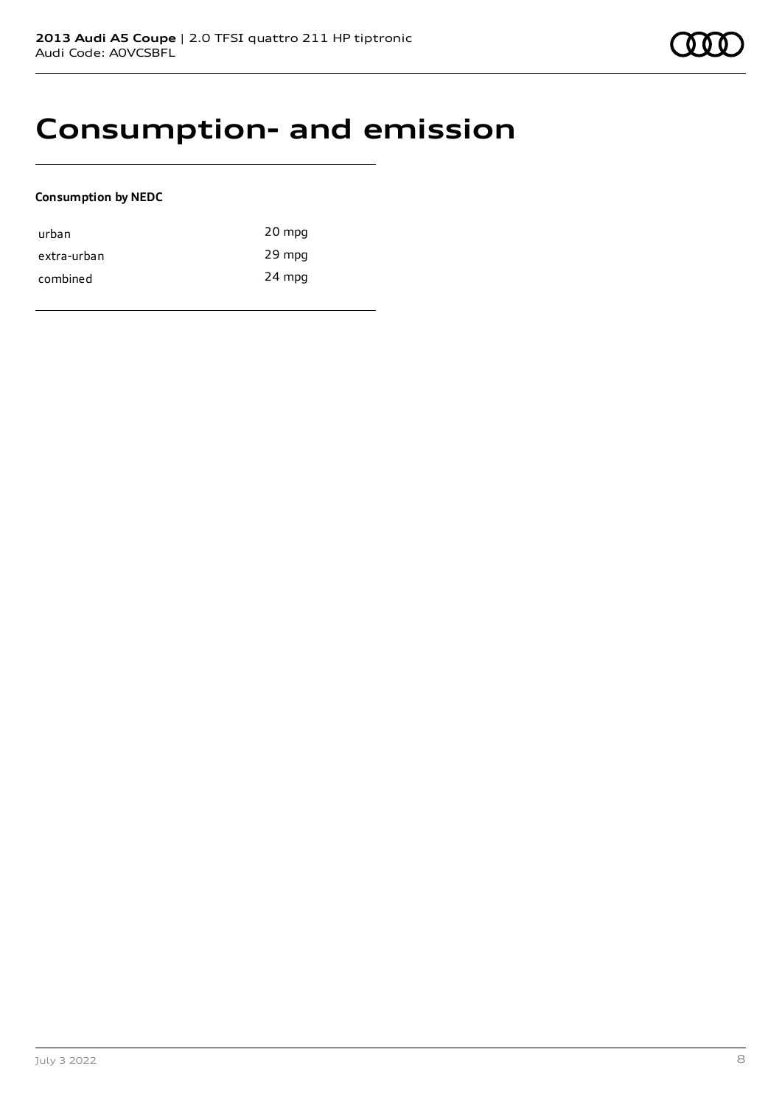## **Consumption- and emission**

### **Consumption by NEDC**

| urban       | 20 mpg |
|-------------|--------|
| extra-urban | 29 mpg |
| combined    | 24 mpg |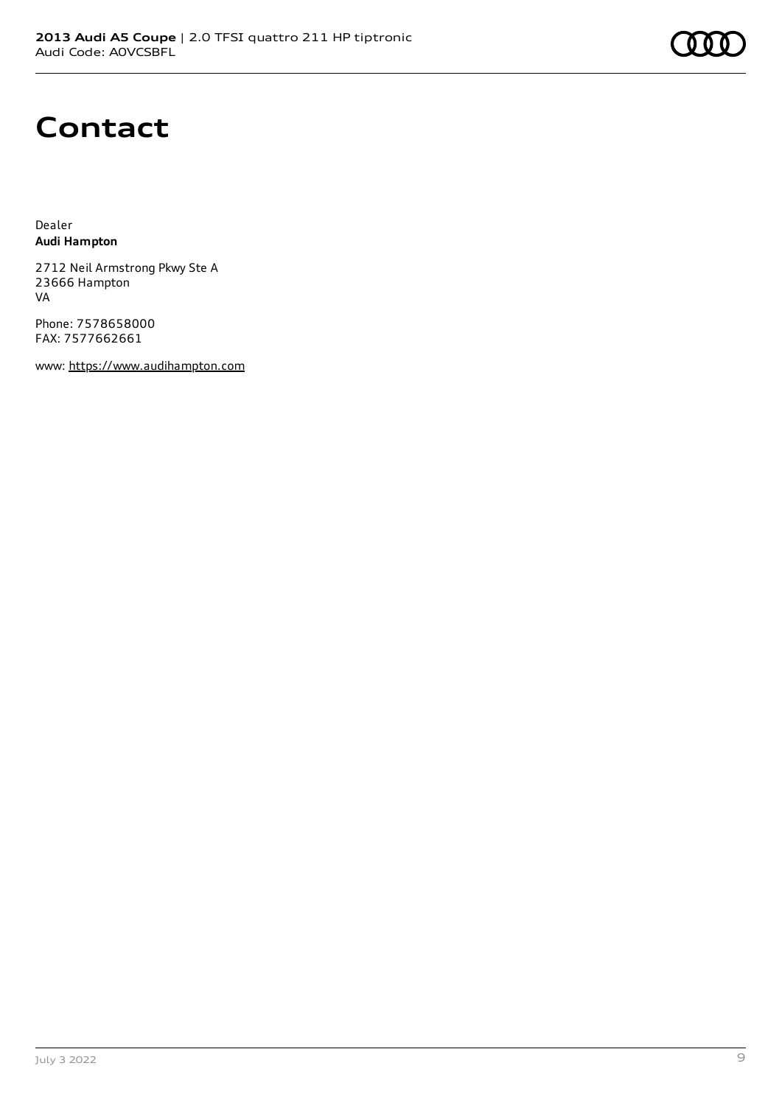## **Contact**

Dealer **Audi Hampton**

2712 Neil Armstrong Pkwy Ste A 23666 Hampton VA

Phone: 7578658000 FAX: 7577662661

www: [https://www.audihampton.com](https://www.audihampton.com/)